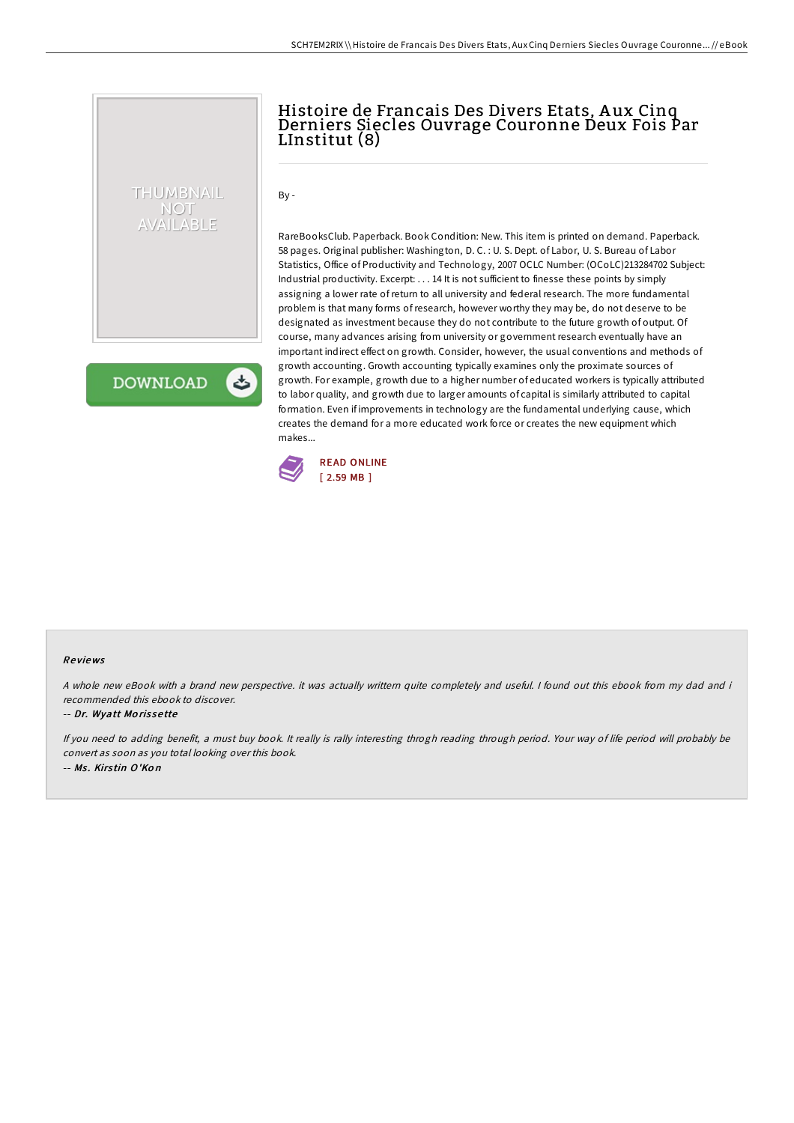# Histoire de Francais Des Divers Etats, A ux Cinq Derniers Siecles Ouvrage Couronne Deux Fois Par LInstitut (8)

 $By -$ 

RareBooksClub. Paperback. Book Condition: New. This item is printed on demand. Paperback. 58 pages. Original publisher: Washington, D. C. : U. S. Dept. of Labor, U. S. Bureau of Labor Statistics, Office of Productivity and Technology, 2007 OCLC Number: (OCoLC)213284702 Subject: Industrial productivity. Excerpt: . . . 14 It is not sufficient to finesse these points by simply assigning a lower rate ofreturn to all university and federal research. The more fundamental problem is that many forms ofresearch, however worthy they may be, do not deserve to be designated as investment because they do not contribute to the future growth of output. Of course, many advances arising from university or government research eventually have an important indirect effect on growth. Consider, however, the usual conventions and methods of growth accounting. Growth accounting typically examines only the proximate sources of growth. For example, growth due to a higher number of educated workers is typically attributed to labor quality, and growth due to larger amounts of capital is similarly attributed to capital formation. Even if improvements in technology are the fundamental underlying cause, which creates the demand for a more educated work force or creates the new equipment which makes...



**DOWNLOAD** 

THUMBNAIL NOT AVAILABLE

#### Re views

A whole new eBook with <sup>a</sup> brand new perspective. it was actually writtern quite completely and useful. I found out this ebook from my dad and i recommended this ebook to discover.

#### -- Dr. Wyatt Mo ris se tte

If you need to adding benefit, <sup>a</sup> must buy book. It really is rally interesting throgh reading through period. Your way of life period will probably be convert as soon as you total looking over this book. -- Ms. Kirstin O'Kon